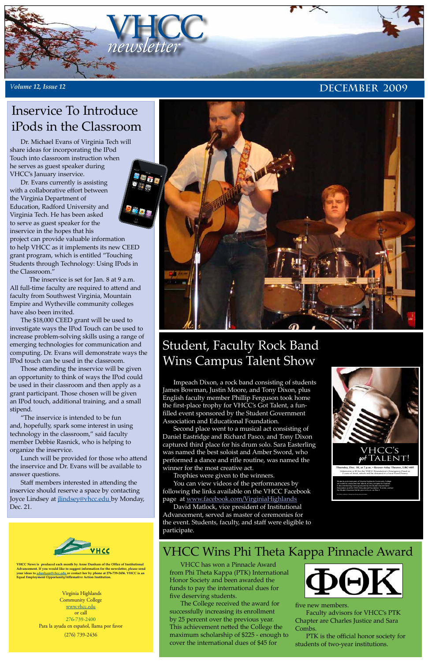

### *Volume 12, Issue 12* **DECEMBER** 2009

**VHCC News is produced each month by Anne Dunham of the Office of Institutional Advancement. If you would like to suggest information for the newsletter, please send your ideas to [adunham@vhcc.edu or](mailto:adunham@vhcc.edu) contact her by phone at 276-739-2456. VHCC is an Equal Employment Opportunity/Affirmative Action Institution.**



Association and the VHCC Educational Foundation. To enter, contact the Student Success Center prior to 6 p.m. on Dec.3

No nudity, profanity or dangerous stunts will be permitted.

## Student, Faculty Rock Band Wins Campus Talent Show

### VHCC Wins Phi Theta Kappa Pinnacle Award

Impeach Dixon, a rock band consisting of students James Bowman, Justin Moore, and Tony Dixon, plus English faculty member Phillip Ferguson took home the first-place trophy for VHCC's Got Talent, a funfilled event sponsored by the Student Government Association and Educational Foundation.

Second place went to a musical act consisting of Daniel Eastridge and Richard Pasco, and Tony Dixon captured third place for his drum solo. Sara Easterling was named the best soloist and Amber Sword, who performed a dance and rifle routine, was named the winner for the most creative act.

Trophies were given to the winners. You can view videos of the performances by following the links available on the VHCC Facebook page at [www.facebook.com/VirginiaHighlands](http://www.facebook.com/VirginiaHighlands) David Matlock, vice president of Institutional Advancement, served as master of ceremonies for the event. Students, faculty, and staff were eligible to participate.

VHCC has won a Pinnacle Award from Phi Theta Kappa (PTK) International Honor Society and been awarded the funds to pay the international dues for five deserving students.

The College received the award for successfully increasing its enrollment by 25 percent over the previous year. This achievement netted the College the maximum scholarship of \$225 - enough to cover the international dues of \$45 for



#### five new members.

Faculty advisors for VHCC's PTK Chapter are Charles Justice and Sara Combs.

PTK is the official honor society for students of two-year institutions.

Dr. Michael Evans of Virginia Tech will share ideas for incorporating the IPod Touch into classroom instruction when he serves as guest speaker during VHCC's January inservice.

Dr. Evans currently is assisting with a collaborative effort between the Virginia Department of Education, Radford University and Virginia Tech. He has been asked to serve as guest speaker for the inservice in the hopes that his project can provide valuable information to help VHCC as it implements its new CEED grant program, which is entitled "Touching Students through Technology: Using IPods in the Classroom."

The inservice is set for Jan. 8 at 9 a.m. All full-time faculty are required to attend and faculty from Southwest Virginia, Mountain Empire and Wytheville community colleges have also been invited.

The \$18,000 CEED grant will be used to investigate ways the IPod Touch can be used to increase problem-solving skills using a range of emerging technologies for communication and computing. Dr. Evans will demonstrate ways the IPod touch can be used in the classroom.

Those attending the inservice will be given an opportunity to think of ways the IPod could be used in their classroom and then apply as a grant participant. Those chosen will be given an IPod touch, additional training, and a small stipend.

"The inservice is intended to be fun and, hopefully, spark some interest in using technology in the classroom," said faculty member Debbie Rasnick, who is helping to organize the inservice.

Lunch will be provided for those who attend the inservice and Dr. Evans will be available to answer questions.

Staff members interested in attending the



inservice should reserve a space by contacting Joyce Lindsey at [jlindsey@vhc](mailto:jlindsey@vhcc.edu)c.edu by Monday, Dec. 21.



### Inservice To Introduce iPods in the Classroom

Virginia Highlands Community College [www.vhcc.edu](http://www.vhcc.edu) or call 276-739-2400 Para la ayuda en español, llama por favor (276) 739-2436